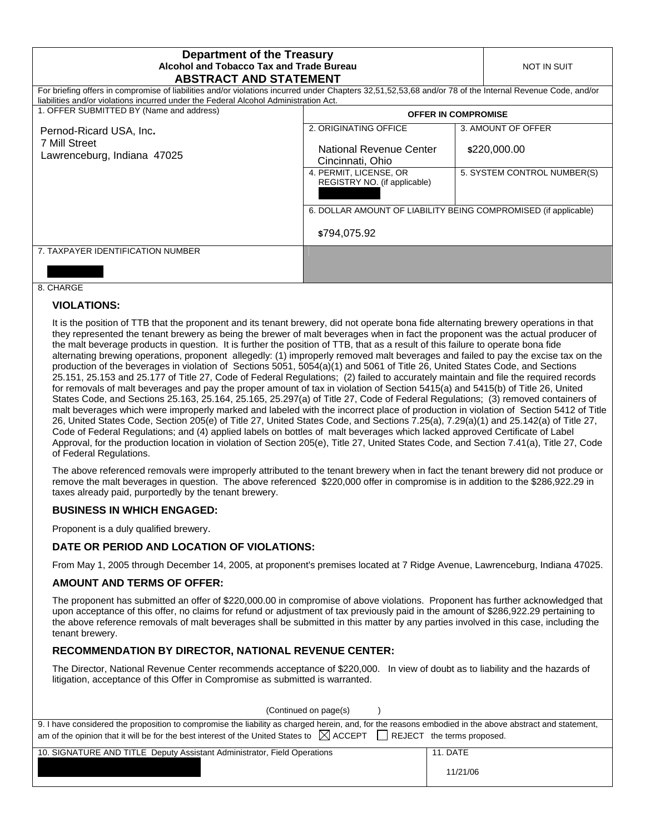| <b>Department of the Treasury</b><br>Alcohol and Tobacco Tax and Trade Bureau                                                                                                                                                                    |                                                                 | NOT IN SUIT                 |
|--------------------------------------------------------------------------------------------------------------------------------------------------------------------------------------------------------------------------------------------------|-----------------------------------------------------------------|-----------------------------|
| <b>ABSTRACT AND STATEMENT</b>                                                                                                                                                                                                                    |                                                                 |                             |
| For briefing offers in compromise of liabilities and/or violations incurred under Chapters 32,51,52,53,68 and/or 78 of the Internal Revenue Code, and/or<br>liabilities and/or violations incurred under the Federal Alcohol Administration Act. |                                                                 |                             |
| 1. OFFER SUBMITTED BY (Name and address)                                                                                                                                                                                                         | <b>OFFER IN COMPROMISE</b>                                      |                             |
| Pernod-Ricard USA, Inc.<br>7 Mill Street<br>Lawrenceburg, Indiana 47025                                                                                                                                                                          | 2. ORIGINATING OFFICE                                           | 3. AMOUNT OF OFFER          |
|                                                                                                                                                                                                                                                  | National Revenue Center<br>Cincinnati, Ohio                     | \$220,000.00                |
|                                                                                                                                                                                                                                                  | 4. PERMIT, LICENSE, OR<br>REGISTRY NO. (if applicable)          | 5. SYSTEM CONTROL NUMBER(S) |
|                                                                                                                                                                                                                                                  | 6. DOLLAR AMOUNT OF LIABILITY BEING COMPROMISED (if applicable) |                             |
|                                                                                                                                                                                                                                                  | \$794,075.92                                                    |                             |
| 7. TAXPAYER IDENTIFICATION NUMBER                                                                                                                                                                                                                |                                                                 |                             |
|                                                                                                                                                                                                                                                  |                                                                 |                             |

#### 8. CHARGE

### **VIOLATIONS:**

It is the position of TTB that the proponent and its tenant brewery, did not operate bona fide alternating brewery operations in that they represented the tenant brewery as being the brewer of malt beverages when in fact the proponent was the actual producer of the malt beverage products in question. It is further the position of TTB, that as a result of this failure to operate bona fide alternating brewing operations, proponent allegedly: (1) improperly removed malt beverages and failed to pay the excise tax on the production of the beverages in violation of Sections 5051, 5054(a)(1) and 5061 of Title 26, United States Code, and Sections 25.151, 25.153 and 25.177 of Title 27, Code of Federal Regulations; (2) failed to accurately maintain and file the required records for removals of malt beverages and pay the proper amount of tax in violation of Section 5415(a) and 5415(b) of Title 26, United States Code, and Sections 25.163, 25.164, 25.165, 25.297(a) of Title 27, Code of Federal Regulations; (3) removed containers of malt beverages which were improperly marked and labeled with the incorrect place of production in violation of Section 5412 of Title 26, United States Code, Section 205(e) of Title 27, United States Code, and Sections 7.25(a), 7.29(a)(1) and 25.142(a) of Title 27, Code of Federal Regulations; and (4) applied labels on bottles of malt beverages which lacked approved Certificate of Label Approval, for the production location in violation of Section 205(e), Title 27, United States Code, and Section 7.41(a), Title 27, Code of Federal Regulations.

The above referenced removals were improperly attributed to the tenant brewery when in fact the tenant brewery did not produce or remove the malt beverages in question. The above referenced \$220,000 offer in compromise is in addition to the \$286,922.29 in taxes already paid, purportedly by the tenant brewery.

## **BUSINESS IN WHICH ENGAGED:**

Proponent is a duly qualified brewery.

## **DATE OR PERIOD AND LOCATION OF VIOLATIONS:**

From May 1, 2005 through December 14, 2005, at proponent's premises located at 7 Ridge Avenue, Lawrenceburg, Indiana 47025.

#### **AMOUNT AND TERMS OF OFFER:**

The proponent has submitted an offer of \$220,000.00 in compromise of above violations. Proponent has further acknowledged that upon acceptance of this offer, no claims for refund or adjustment of tax previously paid in the amount of \$286,922.29 pertaining to the above reference removals of malt beverages shall be submitted in this matter by any parties involved in this case, including the tenant brewery.

## **RECOMMENDATION BY DIRECTOR, NATIONAL REVENUE CENTER:**

The Director, National Revenue Center recommends acceptance of \$220,000. In view of doubt as to liability and the hazards of litigation, acceptance of this Offer in Compromise as submitted is warranted.

| (Continued on page(s)                                                                                                                                                                                                                                                                   |                      |
|-----------------------------------------------------------------------------------------------------------------------------------------------------------------------------------------------------------------------------------------------------------------------------------------|----------------------|
| 9. I have considered the proposition to compromise the liability as charged herein, and, for the reasons embodied in the above abstract and statement,<br>am of the opinion that it will be for the best interest of the United States to $\boxtimes$ ACCEPT REJECT the terms proposed. |                      |
| 10. SIGNATURE AND TITLE Deputy Assistant Administrator, Field Operations                                                                                                                                                                                                                | 11. DATE<br>11/21/06 |